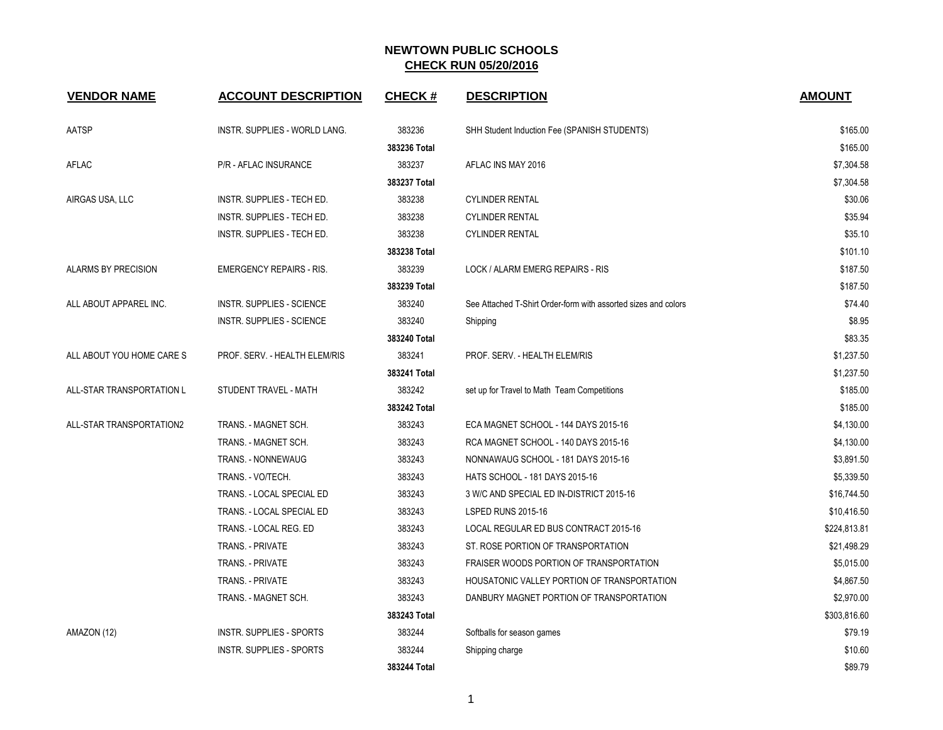| <b>VENDOR NAME</b>        | <b>ACCOUNT DESCRIPTION</b>       | <b>CHECK#</b> | <b>DESCRIPTION</b>                                             | <b>AMOUNT</b> |
|---------------------------|----------------------------------|---------------|----------------------------------------------------------------|---------------|
| AATSP                     | INSTR. SUPPLIES - WORLD LANG.    | 383236        | SHH Student Induction Fee (SPANISH STUDENTS)                   | \$165.00      |
|                           |                                  | 383236 Total  |                                                                | \$165.00      |
| AFLAC                     | P/R - AFLAC INSURANCE            | 383237        | AFLAC INS MAY 2016                                             | \$7,304.58    |
|                           |                                  | 383237 Total  |                                                                | \$7,304.58    |
| AIRGAS USA, LLC           | INSTR. SUPPLIES - TECH ED.       | 383238        | <b>CYLINDER RENTAL</b>                                         | \$30.06       |
|                           | INSTR. SUPPLIES - TECH ED.       | 383238        | <b>CYLINDER RENTAL</b>                                         | \$35.94       |
|                           | INSTR. SUPPLIES - TECH ED.       | 383238        | <b>CYLINDER RENTAL</b>                                         | \$35.10       |
|                           |                                  | 383238 Total  |                                                                | \$101.10      |
| ALARMS BY PRECISION       | <b>EMERGENCY REPAIRS - RIS.</b>  | 383239        | LOCK / ALARM EMERG REPAIRS - RIS                               | \$187.50      |
|                           |                                  | 383239 Total  |                                                                | \$187.50      |
| ALL ABOUT APPAREL INC.    | <b>INSTR. SUPPLIES - SCIENCE</b> | 383240        | See Attached T-Shirt Order-form with assorted sizes and colors | \$74.40       |
|                           | INSTR. SUPPLIES - SCIENCE        | 383240        | Shipping                                                       | \$8.95        |
|                           |                                  | 383240 Total  |                                                                | \$83.35       |
| ALL ABOUT YOU HOME CARE S | PROF. SERV. - HEALTH ELEM/RIS    | 383241        | PROF. SERV. - HEALTH ELEM/RIS                                  | \$1,237.50    |
|                           |                                  | 383241 Total  |                                                                | \$1,237.50    |
| ALL-STAR TRANSPORTATION L | STUDENT TRAVEL - MATH            | 383242        | set up for Travel to Math Team Competitions                    | \$185.00      |
|                           |                                  | 383242 Total  |                                                                | \$185.00      |
| ALL-STAR TRANSPORTATION2  | TRANS. - MAGNET SCH.             | 383243        | ECA MAGNET SCHOOL - 144 DAYS 2015-16                           | \$4,130.00    |
|                           | TRANS. - MAGNET SCH.             | 383243        | RCA MAGNET SCHOOL - 140 DAYS 2015-16                           | \$4,130.00    |
|                           | TRANS. - NONNEWAUG               | 383243        | NONNAWAUG SCHOOL - 181 DAYS 2015-16                            | \$3,891.50    |
|                           | TRANS. - VO/TECH.                | 383243        | <b>HATS SCHOOL - 181 DAYS 2015-16</b>                          | \$5,339.50    |
|                           | TRANS. - LOCAL SPECIAL ED        | 383243        | 3 W/C AND SPECIAL ED IN-DISTRICT 2015-16                       | \$16,744.50   |
|                           | TRANS. - LOCAL SPECIAL ED        | 383243        | <b>LSPED RUNS 2015-16</b>                                      | \$10,416.50   |
|                           | TRANS. - LOCAL REG. ED           | 383243        | LOCAL REGULAR ED BUS CONTRACT 2015-16                          | \$224,813.81  |
|                           | TRANS. - PRIVATE                 | 383243        | ST. ROSE PORTION OF TRANSPORTATION                             | \$21,498.29   |
|                           | TRANS. - PRIVATE                 | 383243        | FRAISER WOODS PORTION OF TRANSPORTATION                        | \$5,015.00    |
|                           | TRANS. - PRIVATE                 | 383243        | HOUSATONIC VALLEY PORTION OF TRANSPORTATION                    | \$4,867.50    |
|                           | TRANS. - MAGNET SCH.             | 383243        | DANBURY MAGNET PORTION OF TRANSPORTATION                       | \$2,970.00    |
|                           |                                  | 383243 Total  |                                                                | \$303,816.60  |
| AMAZON (12)               | <b>INSTR. SUPPLIES - SPORTS</b>  | 383244        | Softballs for season games                                     | \$79.19       |
|                           | <b>INSTR. SUPPLIES - SPORTS</b>  | 383244        | Shipping charge                                                | \$10.60       |
|                           |                                  | 383244 Total  |                                                                | \$89.79       |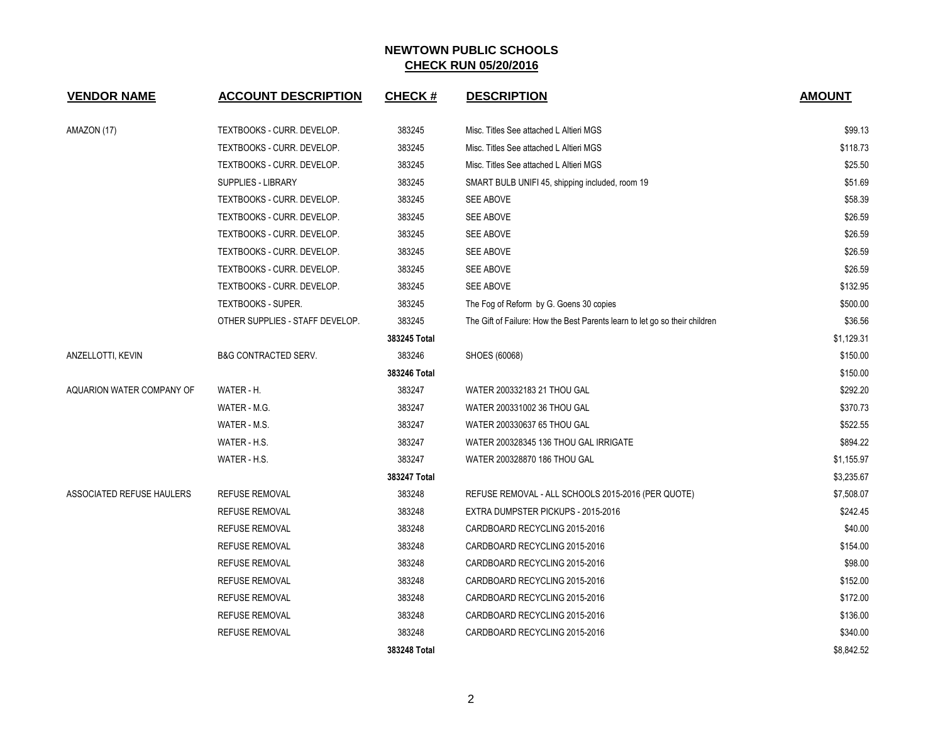| <b>VENDOR NAME</b>        | <b>ACCOUNT DESCRIPTION</b>      | <b>CHECK#</b> | <b>DESCRIPTION</b>                                                          | <b>AMOUNT</b> |
|---------------------------|---------------------------------|---------------|-----------------------------------------------------------------------------|---------------|
| AMAZON (17)               | TEXTBOOKS - CURR. DEVELOP.      | 383245        | Misc. Titles See attached L Altieri MGS                                     | \$99.13       |
|                           | TEXTBOOKS - CURR. DEVELOP.      | 383245        | Misc. Titles See attached L Altieri MGS                                     | \$118.73      |
|                           | TEXTBOOKS - CURR. DEVELOP.      | 383245        | Misc. Titles See attached L Altieri MGS                                     | \$25.50       |
|                           | <b>SUPPLIES - LIBRARY</b>       | 383245        | SMART BULB UNIFI 45, shipping included, room 19                             | \$51.69       |
|                           | TEXTBOOKS - CURR. DEVELOP.      | 383245        | <b>SEE ABOVE</b>                                                            | \$58.39       |
|                           | TEXTBOOKS - CURR. DEVELOP.      | 383245        | SEE ABOVE                                                                   | \$26.59       |
|                           | TEXTBOOKS - CURR. DEVELOP.      | 383245        | SEE ABOVE                                                                   | \$26.59       |
|                           | TEXTBOOKS - CURR. DEVELOP.      | 383245        | SEE ABOVE                                                                   | \$26.59       |
|                           | TEXTBOOKS - CURR. DEVELOP.      | 383245        | SEE ABOVE                                                                   | \$26.59       |
|                           | TEXTBOOKS - CURR. DEVELOP.      | 383245        | <b>SEE ABOVE</b>                                                            | \$132.95      |
|                           | TEXTBOOKS - SUPER.              | 383245        | The Fog of Reform by G. Goens 30 copies                                     | \$500.00      |
|                           | OTHER SUPPLIES - STAFF DEVELOP. | 383245        | The Gift of Failure: How the Best Parents learn to let go so their children | \$36.56       |
|                           |                                 | 383245 Total  |                                                                             | \$1,129.31    |
| ANZELLOTTI, KEVIN         | <b>B&amp;G CONTRACTED SERV.</b> | 383246        | SHOES (60068)                                                               | \$150.00      |
|                           |                                 | 383246 Total  |                                                                             | \$150.00      |
| AQUARION WATER COMPANY OF | WATER - H.                      | 383247        | WATER 200332183 21 THOU GAL                                                 | \$292.20      |
|                           | WATER - M.G.                    | 383247        | WATER 200331002 36 THOU GAL                                                 | \$370.73      |
|                           | WATER - M.S.                    | 383247        | WATER 200330637 65 THOU GAL                                                 | \$522.55      |
|                           | WATER - H.S.                    | 383247        | WATER 200328345 136 THOU GAL IRRIGATE                                       | \$894.22      |
|                           | WATER - H.S.                    | 383247        | WATER 200328870 186 THOU GAL                                                | \$1,155.97    |
|                           |                                 | 383247 Total  |                                                                             | \$3,235.67    |
| ASSOCIATED REFUSE HAULERS | <b>REFUSE REMOVAL</b>           | 383248        | REFUSE REMOVAL - ALL SCHOOLS 2015-2016 (PER QUOTE)                          | \$7,508.07    |
|                           | <b>REFUSE REMOVAL</b>           | 383248        | EXTRA DUMPSTER PICKUPS - 2015-2016                                          | \$242.45      |
|                           | REFUSE REMOVAL                  | 383248        | CARDBOARD RECYCLING 2015-2016                                               | \$40.00       |
|                           | <b>REFUSE REMOVAL</b>           | 383248        | CARDBOARD RECYCLING 2015-2016                                               | \$154.00      |
|                           | <b>REFUSE REMOVAL</b>           | 383248        | CARDBOARD RECYCLING 2015-2016                                               | \$98.00       |
|                           | <b>REFUSE REMOVAL</b>           | 383248        | CARDBOARD RECYCLING 2015-2016                                               | \$152.00      |
|                           | <b>REFUSE REMOVAL</b>           | 383248        | CARDBOARD RECYCLING 2015-2016                                               | \$172.00      |
|                           | <b>REFUSE REMOVAL</b>           | 383248        | CARDBOARD RECYCLING 2015-2016                                               | \$136.00      |
|                           | <b>REFUSE REMOVAL</b>           | 383248        | CARDBOARD RECYCLING 2015-2016                                               | \$340.00      |
|                           |                                 | 383248 Total  |                                                                             | \$8,842.52    |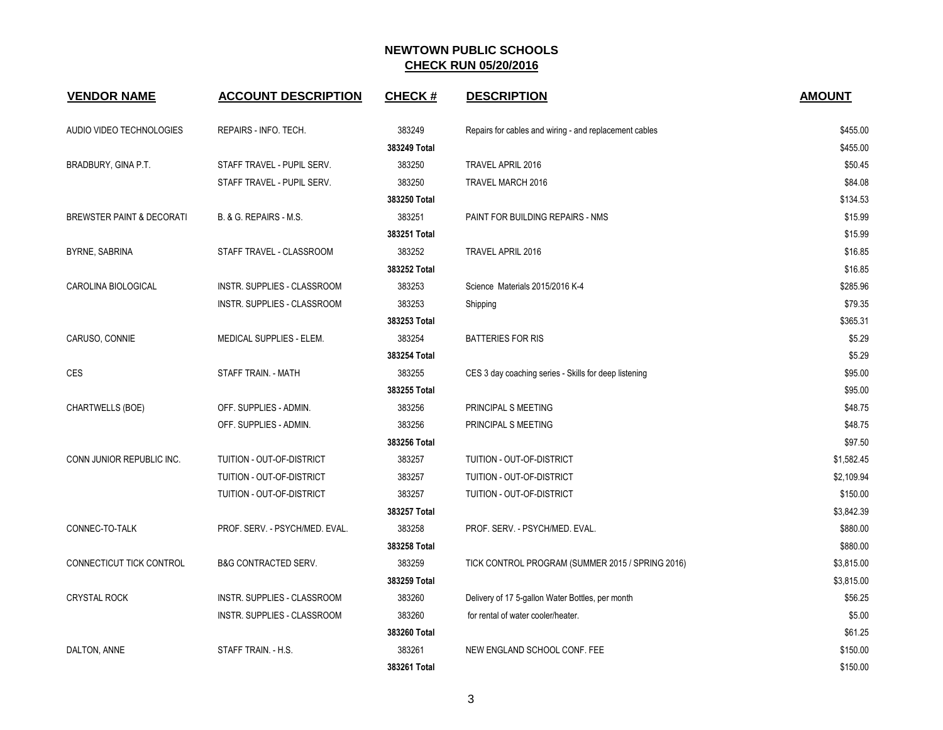| <b>VENDOR NAME</b>                   | <b>ACCOUNT DESCRIPTION</b>         | <b>CHECK#</b> | <b>DESCRIPTION</b>                                     | <b>AMOUNT</b> |
|--------------------------------------|------------------------------------|---------------|--------------------------------------------------------|---------------|
| AUDIO VIDEO TECHNOLOGIES             | REPAIRS - INFO. TECH.              | 383249        | Repairs for cables and wiring - and replacement cables | \$455.00      |
|                                      |                                    | 383249 Total  |                                                        | \$455.00      |
| BRADBURY, GINA P.T.                  | STAFF TRAVEL - PUPIL SERV.         | 383250        | TRAVEL APRIL 2016                                      | \$50.45       |
|                                      | STAFF TRAVEL - PUPIL SERV.         | 383250        | TRAVEL MARCH 2016                                      | \$84.08       |
|                                      |                                    | 383250 Total  |                                                        | \$134.53      |
| <b>BREWSTER PAINT &amp; DECORATI</b> | B. & G. REPAIRS - M.S.             | 383251        | PAINT FOR BUILDING REPAIRS - NMS                       | \$15.99       |
|                                      |                                    | 383251 Total  |                                                        | \$15.99       |
| BYRNE, SABRINA                       | STAFF TRAVEL - CLASSROOM           | 383252        | TRAVEL APRIL 2016                                      | \$16.85       |
|                                      |                                    | 383252 Total  |                                                        | \$16.85       |
| CAROLINA BIOLOGICAL                  | INSTR. SUPPLIES - CLASSROOM        | 383253        | Science Materials 2015/2016 K-4                        | \$285.96      |
|                                      | INSTR. SUPPLIES - CLASSROOM        | 383253        | Shipping                                               | \$79.35       |
|                                      |                                    | 383253 Total  |                                                        | \$365.31      |
| CARUSO, CONNIE                       | MEDICAL SUPPLIES - ELEM.           | 383254        | <b>BATTERIES FOR RIS</b>                               | \$5.29        |
|                                      |                                    | 383254 Total  |                                                        | \$5.29        |
| CES                                  | STAFF TRAIN. - MATH                | 383255        | CES 3 day coaching series - Skills for deep listening  | \$95.00       |
|                                      |                                    | 383255 Total  |                                                        | \$95.00       |
| CHARTWELLS (BOE)                     | OFF. SUPPLIES - ADMIN.             | 383256        | PRINCIPAL S MEETING                                    | \$48.75       |
|                                      | OFF. SUPPLIES - ADMIN.             | 383256        | PRINCIPAL S MEETING                                    | \$48.75       |
|                                      |                                    | 383256 Total  |                                                        | \$97.50       |
| CONN JUNIOR REPUBLIC INC.            | TUITION - OUT-OF-DISTRICT          | 383257        | TUITION - OUT-OF-DISTRICT                              | \$1,582.45    |
|                                      | TUITION - OUT-OF-DISTRICT          | 383257        | TUITION - OUT-OF-DISTRICT                              | \$2,109.94    |
|                                      | TUITION - OUT-OF-DISTRICT          | 383257        | TUITION - OUT-OF-DISTRICT                              | \$150.00      |
|                                      |                                    | 383257 Total  |                                                        | \$3,842.39    |
| CONNEC-TO-TALK                       | PROF. SERV. - PSYCH/MED. EVAL.     | 383258        | PROF. SERV. - PSYCH/MED. EVAL.                         | \$880.00      |
|                                      |                                    | 383258 Total  |                                                        | \$880.00      |
| CONNECTICUT TICK CONTROL             | <b>B&amp;G CONTRACTED SERV.</b>    | 383259        | TICK CONTROL PROGRAM (SUMMER 2015 / SPRING 2016)       | \$3,815.00    |
|                                      |                                    | 383259 Total  |                                                        | \$3,815.00    |
| <b>CRYSTAL ROCK</b>                  | INSTR. SUPPLIES - CLASSROOM        | 383260        | Delivery of 17 5-gallon Water Bottles, per month       | \$56.25       |
|                                      | <b>INSTR. SUPPLIES - CLASSROOM</b> | 383260        | for rental of water cooler/heater.                     | \$5.00        |
|                                      |                                    | 383260 Total  |                                                        | \$61.25       |
| DALTON, ANNE                         | STAFF TRAIN. - H.S.                | 383261        | NEW ENGLAND SCHOOL CONF. FEE                           | \$150.00      |
|                                      |                                    | 383261 Total  |                                                        | \$150.00      |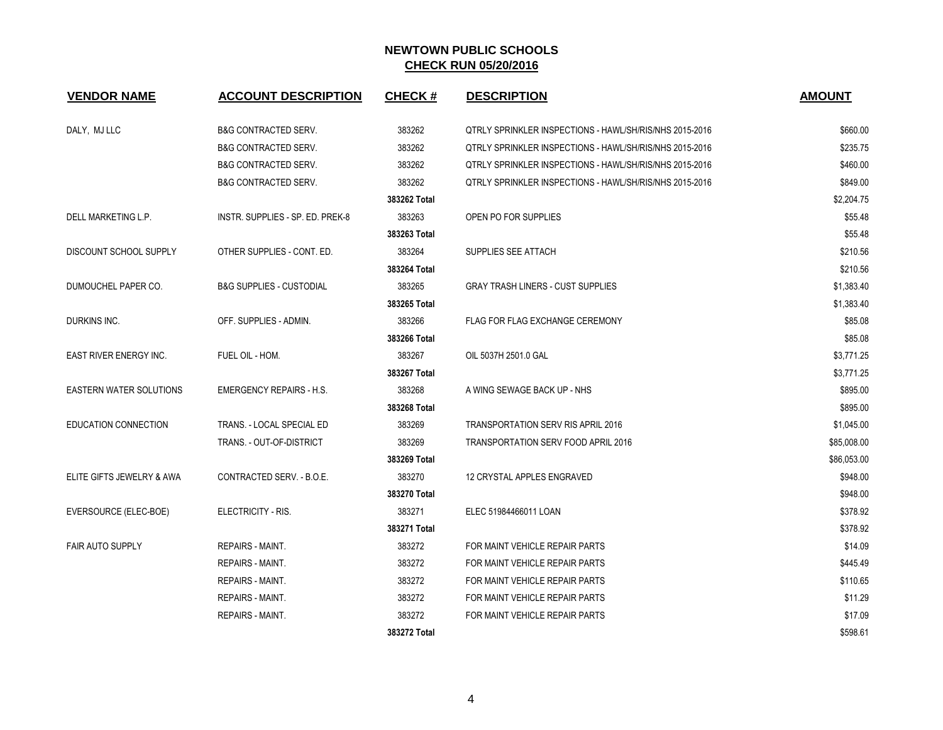| <b>VENDOR NAME</b>             | <b>ACCOUNT DESCRIPTION</b>          | <b>CHECK#</b> | <b>DESCRIPTION</b>                                             | <b>AMOUNT</b> |
|--------------------------------|-------------------------------------|---------------|----------------------------------------------------------------|---------------|
| DALY, MJ LLC                   | <b>B&amp;G CONTRACTED SERV.</b>     | 383262        | QTRLY SPRINKLER INSPECTIONS - HAWL/SH/RIS/NHS 2015-2016        | \$660.00      |
|                                | <b>B&amp;G CONTRACTED SERV.</b>     | 383262        | QTRLY SPRINKLER INSPECTIONS - HAWL/SH/RIS/NHS 2015-2016        | \$235.75      |
|                                | <b>B&amp;G CONTRACTED SERV.</b>     | 383262        | <b>QTRLY SPRINKLER INSPECTIONS - HAWL/SH/RIS/NHS 2015-2016</b> | \$460.00      |
|                                | <b>B&amp;G CONTRACTED SERV.</b>     | 383262        | QTRLY SPRINKLER INSPECTIONS - HAWL/SH/RIS/NHS 2015-2016        | \$849.00      |
|                                |                                     | 383262 Total  |                                                                | \$2,204.75    |
| DELL MARKETING L.P.            | INSTR. SUPPLIES - SP. ED. PREK-8    | 383263        | OPEN PO FOR SUPPLIES                                           | \$55.48       |
|                                |                                     | 383263 Total  |                                                                | \$55.48       |
| DISCOUNT SCHOOL SUPPLY         | OTHER SUPPLIES - CONT. ED.          | 383264        | SUPPLIES SEE ATTACH                                            | \$210.56      |
|                                |                                     | 383264 Total  |                                                                | \$210.56      |
| DUMOUCHEL PAPER CO.            | <b>B&amp;G SUPPLIES - CUSTODIAL</b> | 383265        | <b>GRAY TRASH LINERS - CUST SUPPLIES</b>                       | \$1,383.40    |
|                                |                                     | 383265 Total  |                                                                | \$1,383.40    |
| DURKINS INC.                   | OFF. SUPPLIES - ADMIN.              | 383266        | <b>FLAG FOR FLAG EXCHANGE CEREMONY</b>                         | \$85.08       |
|                                |                                     | 383266 Total  |                                                                | \$85.08       |
| <b>EAST RIVER ENERGY INC.</b>  | FUEL OIL - HOM.                     | 383267        | OIL 5037H 2501.0 GAL                                           | \$3,771.25    |
|                                |                                     | 383267 Total  |                                                                | \$3,771.25    |
| <b>EASTERN WATER SOLUTIONS</b> | <b>EMERGENCY REPAIRS - H.S.</b>     | 383268        | A WING SEWAGE BACK UP - NHS                                    | \$895.00      |
|                                |                                     | 383268 Total  |                                                                | \$895.00      |
| EDUCATION CONNECTION           | TRANS. - LOCAL SPECIAL ED           | 383269        | TRANSPORTATION SERV RIS APRIL 2016                             | \$1,045.00    |
|                                | TRANS. - OUT-OF-DISTRICT            | 383269        | <b>TRANSPORTATION SERV FOOD APRIL 2016</b>                     | \$85,008.00   |
|                                |                                     | 383269 Total  |                                                                | \$86,053.00   |
| ELITE GIFTS JEWELRY & AWA      | CONTRACTED SERV. - B.O.E.           | 383270        | 12 CRYSTAL APPLES ENGRAVED                                     | \$948.00      |
|                                |                                     | 383270 Total  |                                                                | \$948.00      |
| EVERSOURCE (ELEC-BOE)          | ELECTRICITY - RIS.                  | 383271        | ELEC 51984466011 LOAN                                          | \$378.92      |
|                                |                                     | 383271 Total  |                                                                | \$378.92      |
| <b>FAIR AUTO SUPPLY</b>        | REPAIRS - MAINT.                    | 383272        | FOR MAINT VEHICLE REPAIR PARTS                                 | \$14.09       |
|                                | <b>REPAIRS - MAINT.</b>             | 383272        | FOR MAINT VEHICLE REPAIR PARTS                                 | \$445.49      |
|                                | REPAIRS - MAINT.                    | 383272        | FOR MAINT VEHICLE REPAIR PARTS                                 | \$110.65      |
|                                | <b>REPAIRS - MAINT.</b>             | 383272        | FOR MAINT VEHICLE REPAIR PARTS                                 | \$11.29       |
|                                | <b>REPAIRS - MAINT.</b>             | 383272        | FOR MAINT VEHICLE REPAIR PARTS                                 | \$17.09       |
|                                |                                     | 383272 Total  |                                                                | \$598.61      |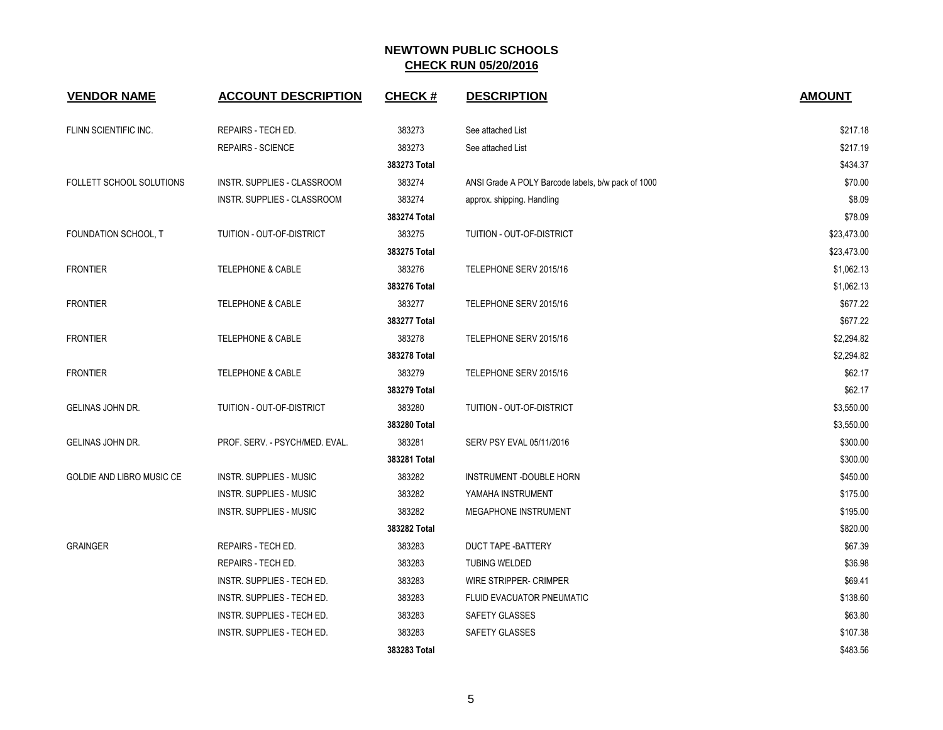| <b>VENDOR NAME</b>        | <b>ACCOUNT DESCRIPTION</b>     | <b>CHECK#</b> | <b>DESCRIPTION</b>                                 | <b>AMOUNT</b> |
|---------------------------|--------------------------------|---------------|----------------------------------------------------|---------------|
| FLINN SCIENTIFIC INC.     | REPAIRS - TECH ED.             | 383273        | See attached List                                  | \$217.18      |
|                           | <b>REPAIRS - SCIENCE</b>       | 383273        | See attached List                                  | \$217.19      |
|                           |                                | 383273 Total  |                                                    | \$434.37      |
| FOLLETT SCHOOL SOLUTIONS  | INSTR. SUPPLIES - CLASSROOM    | 383274        | ANSI Grade A POLY Barcode labels, b/w pack of 1000 | \$70.00       |
|                           | INSTR. SUPPLIES - CLASSROOM    | 383274        | approx. shipping. Handling                         | \$8.09        |
|                           |                                | 383274 Total  |                                                    | \$78.09       |
| FOUNDATION SCHOOL, T      | TUITION - OUT-OF-DISTRICT      | 383275        | TUITION - OUT-OF-DISTRICT                          | \$23,473.00   |
|                           |                                | 383275 Total  |                                                    | \$23,473.00   |
| <b>FRONTIER</b>           | <b>TELEPHONE &amp; CABLE</b>   | 383276        | TELEPHONE SERV 2015/16                             | \$1,062.13    |
|                           |                                | 383276 Total  |                                                    | \$1,062.13    |
| <b>FRONTIER</b>           | <b>TELEPHONE &amp; CABLE</b>   | 383277        | TELEPHONE SERV 2015/16                             | \$677.22      |
|                           |                                | 383277 Total  |                                                    | \$677.22      |
| <b>FRONTIER</b>           | <b>TELEPHONE &amp; CABLE</b>   | 383278        | TELEPHONE SERV 2015/16                             | \$2,294.82    |
|                           |                                | 383278 Total  |                                                    | \$2,294.82    |
| <b>FRONTIER</b>           | <b>TELEPHONE &amp; CABLE</b>   | 383279        | TELEPHONE SERV 2015/16                             | \$62.17       |
|                           |                                | 383279 Total  |                                                    | \$62.17       |
| GELINAS JOHN DR.          | TUITION - OUT-OF-DISTRICT      | 383280        | TUITION - OUT-OF-DISTRICT                          | \$3,550.00    |
|                           |                                | 383280 Total  |                                                    | \$3,550.00    |
| GELINAS JOHN DR.          | PROF. SERV. - PSYCH/MED. EVAL. | 383281        | SERV PSY EVAL 05/11/2016                           | \$300.00      |
|                           |                                | 383281 Total  |                                                    | \$300.00      |
| GOLDIE AND LIBRO MUSIC CE | <b>INSTR. SUPPLIES - MUSIC</b> | 383282        | INSTRUMENT -DOUBLE HORN                            | \$450.00      |
|                           | <b>INSTR. SUPPLIES - MUSIC</b> | 383282        | YAMAHA INSTRUMENT                                  | \$175.00      |
|                           | <b>INSTR. SUPPLIES - MUSIC</b> | 383282        | MEGAPHONE INSTRUMENT                               | \$195.00      |
|                           |                                | 383282 Total  |                                                    | \$820.00      |
| <b>GRAINGER</b>           | REPAIRS - TECH ED.             | 383283        | <b>DUCT TAPE -BATTERY</b>                          | \$67.39       |
|                           | REPAIRS - TECH ED.             | 383283        | <b>TUBING WELDED</b>                               | \$36.98       |
|                           | INSTR. SUPPLIES - TECH ED.     | 383283        | WIRE STRIPPER- CRIMPER                             | \$69.41       |
|                           | INSTR. SUPPLIES - TECH ED.     | 383283        | FLUID EVACUATOR PNEUMATIC                          | \$138.60      |
|                           | INSTR. SUPPLIES - TECH ED.     | 383283        | SAFETY GLASSES                                     | \$63.80       |
|                           | INSTR. SUPPLIES - TECH ED.     | 383283        | SAFETY GLASSES                                     | \$107.38      |
|                           |                                | 383283 Total  |                                                    | \$483.56      |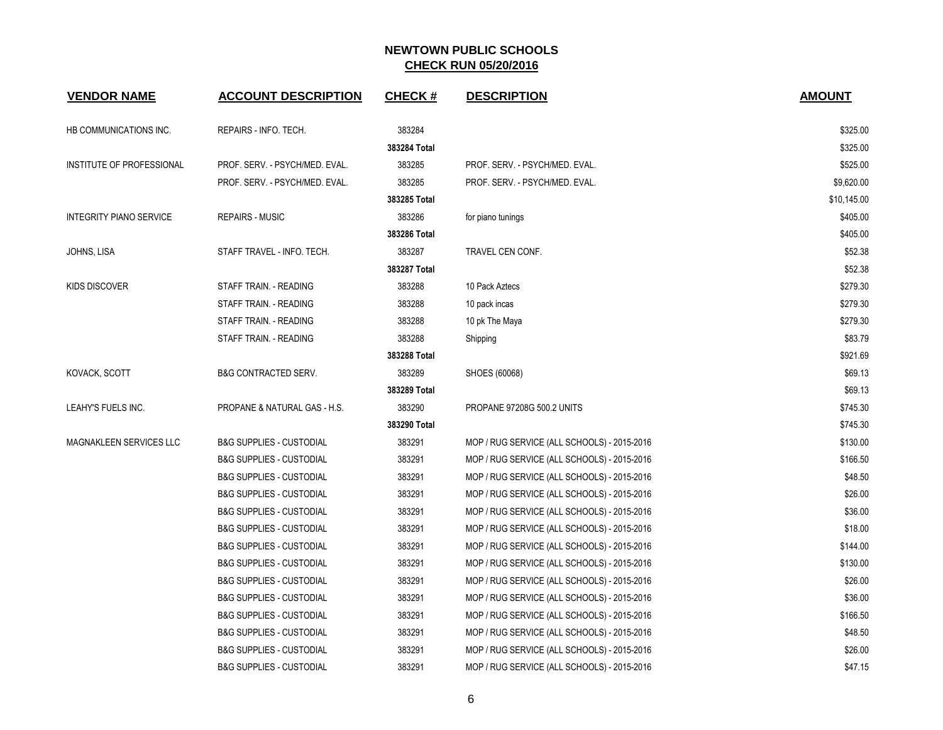| <b>VENDOR NAME</b>             | <b>ACCOUNT DESCRIPTION</b>          | <b>CHECK#</b> | <b>DESCRIPTION</b>                          | <b>AMOUNT</b> |
|--------------------------------|-------------------------------------|---------------|---------------------------------------------|---------------|
| HB COMMUNICATIONS INC.         | REPAIRS - INFO. TECH.               | 383284        |                                             | \$325.00      |
|                                |                                     | 383284 Total  |                                             | \$325.00      |
| INSTITUTE OF PROFESSIONAL      | PROF. SERV. - PSYCH/MED. EVAL.      | 383285        | PROF. SERV. - PSYCH/MED. EVAL.              | \$525.00      |
|                                | PROF. SERV. - PSYCH/MED. EVAL.      | 383285        | PROF. SERV. - PSYCH/MED. EVAL.              | \$9,620.00    |
|                                |                                     | 383285 Total  |                                             | \$10,145.00   |
| <b>INTEGRITY PIANO SERVICE</b> | <b>REPAIRS - MUSIC</b>              | 383286        | for piano tunings                           | \$405.00      |
|                                |                                     | 383286 Total  |                                             | \$405.00      |
| JOHNS, LISA                    | STAFF TRAVEL - INFO. TECH.          | 383287        | TRAVEL CEN CONF.                            | \$52.38       |
|                                |                                     | 383287 Total  |                                             | \$52.38       |
| <b>KIDS DISCOVER</b>           | STAFF TRAIN. - READING              | 383288        | 10 Pack Aztecs                              | \$279.30      |
|                                | STAFF TRAIN. - READING              | 383288        | 10 pack incas                               | \$279.30      |
|                                | STAFF TRAIN. - READING              | 383288        | 10 pk The Maya                              | \$279.30      |
|                                | STAFF TRAIN. - READING              | 383288        | Shipping                                    | \$83.79       |
|                                |                                     | 383288 Total  |                                             | \$921.69      |
| KOVACK, SCOTT                  | <b>B&amp;G CONTRACTED SERV.</b>     | 383289        | SHOES (60068)                               | \$69.13       |
|                                |                                     | 383289 Total  |                                             | \$69.13       |
| LEAHY'S FUELS INC.             | PROPANE & NATURAL GAS - H.S.        | 383290        | PROPANE 97208G 500.2 UNITS                  | \$745.30      |
|                                |                                     | 383290 Total  |                                             | \$745.30      |
| <b>MAGNAKLEEN SERVICES LLC</b> | <b>B&amp;G SUPPLIES - CUSTODIAL</b> | 383291        | MOP / RUG SERVICE (ALL SCHOOLS) - 2015-2016 | \$130.00      |
|                                | <b>B&amp;G SUPPLIES - CUSTODIAL</b> | 383291        | MOP / RUG SERVICE (ALL SCHOOLS) - 2015-2016 | \$166.50      |
|                                | <b>B&amp;G SUPPLIES - CUSTODIAL</b> | 383291        | MOP / RUG SERVICE (ALL SCHOOLS) - 2015-2016 | \$48.50       |
|                                | <b>B&amp;G SUPPLIES - CUSTODIAL</b> | 383291        | MOP / RUG SERVICE (ALL SCHOOLS) - 2015-2016 | \$26.00       |
|                                | <b>B&amp;G SUPPLIES - CUSTODIAL</b> | 383291        | MOP / RUG SERVICE (ALL SCHOOLS) - 2015-2016 | \$36.00       |
|                                | <b>B&amp;G SUPPLIES - CUSTODIAL</b> | 383291        | MOP / RUG SERVICE (ALL SCHOOLS) - 2015-2016 | \$18.00       |
|                                | <b>B&amp;G SUPPLIES - CUSTODIAL</b> | 383291        | MOP / RUG SERVICE (ALL SCHOOLS) - 2015-2016 | \$144.00      |
|                                | <b>B&amp;G SUPPLIES - CUSTODIAL</b> | 383291        | MOP / RUG SERVICE (ALL SCHOOLS) - 2015-2016 | \$130.00      |
|                                | <b>B&amp;G SUPPLIES - CUSTODIAL</b> | 383291        | MOP / RUG SERVICE (ALL SCHOOLS) - 2015-2016 | \$26.00       |
|                                | <b>B&amp;G SUPPLIES - CUSTODIAL</b> | 383291        | MOP / RUG SERVICE (ALL SCHOOLS) - 2015-2016 | \$36.00       |
|                                | <b>B&amp;G SUPPLIES - CUSTODIAL</b> | 383291        | MOP / RUG SERVICE (ALL SCHOOLS) - 2015-2016 | \$166.50      |
|                                | <b>B&amp;G SUPPLIES - CUSTODIAL</b> | 383291        | MOP / RUG SERVICE (ALL SCHOOLS) - 2015-2016 | \$48.50       |
|                                | <b>B&amp;G SUPPLIES - CUSTODIAL</b> | 383291        | MOP / RUG SERVICE (ALL SCHOOLS) - 2015-2016 | \$26.00       |
|                                | <b>B&amp;G SUPPLIES - CUSTODIAL</b> | 383291        | MOP / RUG SERVICE (ALL SCHOOLS) - 2015-2016 | \$47.15       |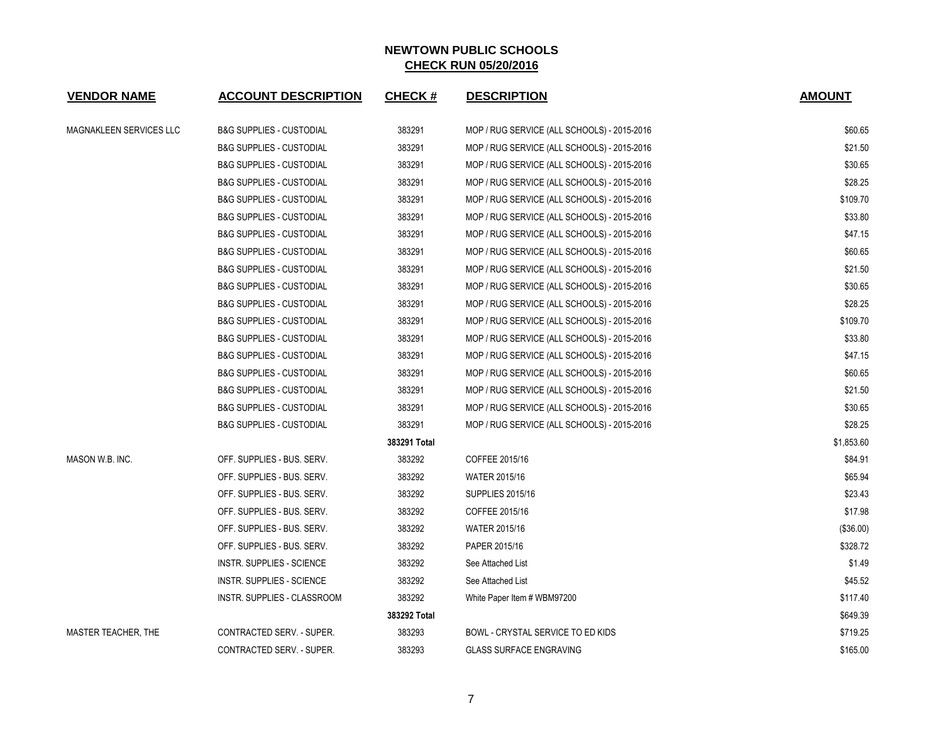| <b>VENDOR NAME</b>         | <b>ACCOUNT DESCRIPTION</b>          | <b>CHECK#</b> | <b>DESCRIPTION</b>                          | <b>AMOUNT</b> |
|----------------------------|-------------------------------------|---------------|---------------------------------------------|---------------|
| MAGNAKLEEN SERVICES LLC    | <b>B&amp;G SUPPLIES - CUSTODIAL</b> | 383291        | MOP / RUG SERVICE (ALL SCHOOLS) - 2015-2016 | \$60.65       |
|                            | <b>B&amp;G SUPPLIES - CUSTODIAL</b> | 383291        | MOP / RUG SERVICE (ALL SCHOOLS) - 2015-2016 | \$21.50       |
|                            | <b>B&amp;G SUPPLIES - CUSTODIAL</b> | 383291        | MOP / RUG SERVICE (ALL SCHOOLS) - 2015-2016 | \$30.65       |
|                            | <b>B&amp;G SUPPLIES - CUSTODIAL</b> | 383291        | MOP / RUG SERVICE (ALL SCHOOLS) - 2015-2016 | \$28.25       |
|                            | <b>B&amp;G SUPPLIES - CUSTODIAL</b> | 383291        | MOP / RUG SERVICE (ALL SCHOOLS) - 2015-2016 | \$109.70      |
|                            | <b>B&amp;G SUPPLIES - CUSTODIAL</b> | 383291        | MOP / RUG SERVICE (ALL SCHOOLS) - 2015-2016 | \$33.80       |
|                            | <b>B&amp;G SUPPLIES - CUSTODIAL</b> | 383291        | MOP / RUG SERVICE (ALL SCHOOLS) - 2015-2016 | \$47.15       |
|                            | <b>B&amp;G SUPPLIES - CUSTODIAL</b> | 383291        | MOP / RUG SERVICE (ALL SCHOOLS) - 2015-2016 | \$60.65       |
|                            | <b>B&amp;G SUPPLIES - CUSTODIAL</b> | 383291        | MOP / RUG SERVICE (ALL SCHOOLS) - 2015-2016 | \$21.50       |
|                            | <b>B&amp;G SUPPLIES - CUSTODIAL</b> | 383291        | MOP / RUG SERVICE (ALL SCHOOLS) - 2015-2016 | \$30.65       |
|                            | <b>B&amp;G SUPPLIES - CUSTODIAL</b> | 383291        | MOP / RUG SERVICE (ALL SCHOOLS) - 2015-2016 | \$28.25       |
|                            | <b>B&amp;G SUPPLIES - CUSTODIAL</b> | 383291        | MOP / RUG SERVICE (ALL SCHOOLS) - 2015-2016 | \$109.70      |
|                            | <b>B&amp;G SUPPLIES - CUSTODIAL</b> | 383291        | MOP / RUG SERVICE (ALL SCHOOLS) - 2015-2016 | \$33.80       |
|                            | <b>B&amp;G SUPPLIES - CUSTODIAL</b> | 383291        | MOP / RUG SERVICE (ALL SCHOOLS) - 2015-2016 | \$47.15       |
|                            | <b>B&amp;G SUPPLIES - CUSTODIAL</b> | 383291        | MOP / RUG SERVICE (ALL SCHOOLS) - 2015-2016 | \$60.65       |
|                            | <b>B&amp;G SUPPLIES - CUSTODIAL</b> | 383291        | MOP / RUG SERVICE (ALL SCHOOLS) - 2015-2016 | \$21.50       |
|                            | <b>B&amp;G SUPPLIES - CUSTODIAL</b> | 383291        | MOP / RUG SERVICE (ALL SCHOOLS) - 2015-2016 | \$30.65       |
|                            | <b>B&amp;G SUPPLIES - CUSTODIAL</b> | 383291        | MOP / RUG SERVICE (ALL SCHOOLS) - 2015-2016 | \$28.25       |
|                            |                                     | 383291 Total  |                                             | \$1,853.60    |
| MASON W.B. INC.            | OFF. SUPPLIES - BUS. SERV.          | 383292        | COFFEE 2015/16                              | \$84.91       |
|                            | OFF. SUPPLIES - BUS. SERV.          | 383292        | <b>WATER 2015/16</b>                        | \$65.94       |
|                            | OFF. SUPPLIES - BUS. SERV.          | 383292        | <b>SUPPLIES 2015/16</b>                     | \$23.43       |
|                            | OFF. SUPPLIES - BUS. SERV.          | 383292        | COFFEE 2015/16                              | \$17.98       |
|                            | OFF. SUPPLIES - BUS. SERV.          | 383292        | <b>WATER 2015/16</b>                        | (\$36.00)     |
|                            | OFF. SUPPLIES - BUS. SERV.          | 383292        | PAPER 2015/16                               | \$328.72      |
|                            | INSTR. SUPPLIES - SCIENCE           | 383292        | See Attached List                           | \$1.49        |
|                            | INSTR. SUPPLIES - SCIENCE           | 383292        | See Attached List                           | \$45.52       |
|                            | INSTR. SUPPLIES - CLASSROOM         | 383292        | White Paper Item # WBM97200                 | \$117.40      |
|                            |                                     | 383292 Total  |                                             | \$649.39      |
| <b>MASTER TEACHER, THE</b> | CONTRACTED SERV. - SUPER.           | 383293        | BOWL - CRYSTAL SERVICE TO ED KIDS           | \$719.25      |
|                            | <b>CONTRACTED SERV. - SUPER.</b>    | 383293        | <b>GLASS SURFACE ENGRAVING</b>              | \$165.00      |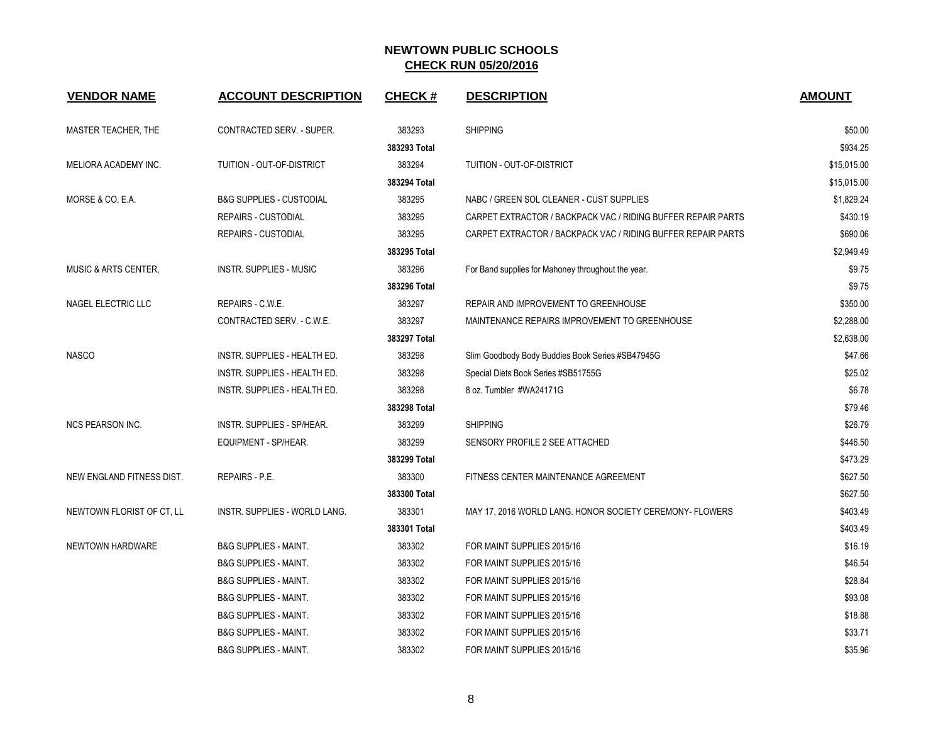| <b>VENDOR NAME</b>              | <b>ACCOUNT DESCRIPTION</b>           | <b>CHECK#</b> | <b>DESCRIPTION</b>                                           | <b>AMOUNT</b> |
|---------------------------------|--------------------------------------|---------------|--------------------------------------------------------------|---------------|
| MASTER TEACHER, THE             | CONTRACTED SERV. - SUPER.            | 383293        | <b>SHIPPING</b>                                              | \$50.00       |
|                                 |                                      | 383293 Total  |                                                              | \$934.25      |
| MELIORA ACADEMY INC.            | TUITION - OUT-OF-DISTRICT            | 383294        | TUITION - OUT-OF-DISTRICT                                    | \$15,015.00   |
|                                 |                                      | 383294 Total  |                                                              | \$15,015.00   |
| MORSE & CO, E.A.                | <b>B&amp;G SUPPLIES - CUSTODIAL</b>  | 383295        | NABC / GREEN SOL CLEANER - CUST SUPPLIES                     | \$1,829.24    |
|                                 | REPAIRS - CUSTODIAL                  | 383295        | CARPET EXTRACTOR / BACKPACK VAC / RIDING BUFFER REPAIR PARTS | \$430.19      |
|                                 | REPAIRS - CUSTODIAL                  | 383295        | CARPET EXTRACTOR / BACKPACK VAC / RIDING BUFFER REPAIR PARTS | \$690.06      |
|                                 |                                      | 383295 Total  |                                                              | \$2.949.49    |
| <b>MUSIC &amp; ARTS CENTER,</b> | <b>INSTR. SUPPLIES - MUSIC</b>       | 383296        | For Band supplies for Mahoney throughout the year.           | \$9.75        |
|                                 |                                      | 383296 Total  |                                                              | \$9.75        |
| NAGEL ELECTRIC LLC              | REPAIRS - C.W.E.                     | 383297        | REPAIR AND IMPROVEMENT TO GREENHOUSE                         | \$350.00      |
|                                 | CONTRACTED SERV. - C.W.E.            | 383297        | MAINTENANCE REPAIRS IMPROVEMENT TO GREENHOUSE                | \$2,288.00    |
|                                 |                                      | 383297 Total  |                                                              | \$2,638.00    |
| <b>NASCO</b>                    | INSTR. SUPPLIES - HEALTH ED.         | 383298        | Slim Goodbody Body Buddies Book Series #SB47945G             | \$47.66       |
|                                 | <b>INSTR. SUPPLIES - HEALTH ED.</b>  | 383298        | Special Diets Book Series #SB51755G                          | \$25.02       |
|                                 | INSTR. SUPPLIES - HEALTH ED.         | 383298        | 8 oz. Tumbler #WA24171G                                      | \$6.78        |
|                                 |                                      | 383298 Total  |                                                              | \$79.46       |
| <b>NCS PEARSON INC.</b>         | INSTR. SUPPLIES - SP/HEAR.           | 383299        | <b>SHIPPING</b>                                              | \$26.79       |
|                                 | <b>EQUIPMENT - SP/HEAR.</b>          | 383299        | SENSORY PROFILE 2 SEE ATTACHED                               | \$446.50      |
|                                 |                                      | 383299 Total  |                                                              | \$473.29      |
| NEW ENGLAND FITNESS DIST.       | <b>REPAIRS - P.E.</b>                | 383300        | FITNESS CENTER MAINTENANCE AGREEMENT                         | \$627.50      |
|                                 |                                      | 383300 Total  |                                                              | \$627.50      |
| NEWTOWN FLORIST OF CT, LL       | <b>INSTR. SUPPLIES - WORLD LANG.</b> | 383301        | MAY 17, 2016 WORLD LANG. HONOR SOCIETY CEREMONY- FLOWERS     | \$403.49      |
|                                 |                                      | 383301 Total  |                                                              | \$403.49      |
| NEWTOWN HARDWARE                | <b>B&amp;G SUPPLIES - MAINT.</b>     | 383302        | FOR MAINT SUPPLIES 2015/16                                   | \$16.19       |
|                                 | <b>B&amp;G SUPPLIES - MAINT.</b>     | 383302        | FOR MAINT SUPPLIES 2015/16                                   | \$46.54       |
|                                 | <b>B&amp;G SUPPLIES - MAINT.</b>     | 383302        | FOR MAINT SUPPLIES 2015/16                                   | \$28.84       |
|                                 | <b>B&amp;G SUPPLIES - MAINT.</b>     | 383302        | FOR MAINT SUPPLIES 2015/16                                   | \$93.08       |
|                                 | <b>B&amp;G SUPPLIES - MAINT.</b>     | 383302        | FOR MAINT SUPPLIES 2015/16                                   | \$18.88       |
|                                 | <b>B&amp;G SUPPLIES - MAINT.</b>     | 383302        | FOR MAINT SUPPLIES 2015/16                                   | \$33.71       |
|                                 | <b>B&amp;G SUPPLIES - MAINT.</b>     | 383302        | FOR MAINT SUPPLIES 2015/16                                   | \$35.96       |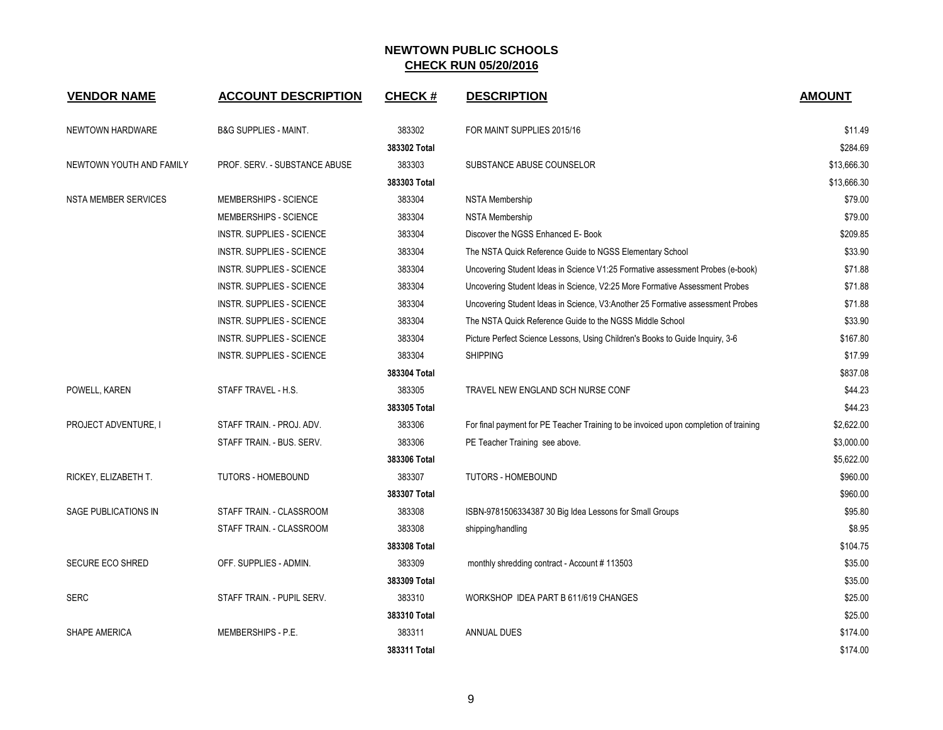| <b>VENDOR NAME</b>          | <b>ACCOUNT DESCRIPTION</b>       | <b>CHECK#</b> | <b>DESCRIPTION</b>                                                                   | <b>AMOUNT</b> |
|-----------------------------|----------------------------------|---------------|--------------------------------------------------------------------------------------|---------------|
| NEWTOWN HARDWARE            | <b>B&amp;G SUPPLIES - MAINT.</b> | 383302        | FOR MAINT SUPPLIES 2015/16                                                           | \$11.49       |
|                             |                                  | 383302 Total  |                                                                                      | \$284.69      |
| NEWTOWN YOUTH AND FAMILY    | PROF. SERV. - SUBSTANCE ABUSE    | 383303        | SUBSTANCE ABUSE COUNSELOR                                                            | \$13,666.30   |
|                             |                                  | 383303 Total  |                                                                                      | \$13,666.30   |
| <b>NSTA MEMBER SERVICES</b> | <b>MEMBERSHIPS - SCIENCE</b>     | 383304        | <b>NSTA Membership</b>                                                               | \$79.00       |
|                             | MEMBERSHIPS - SCIENCE            | 383304        | <b>NSTA Membership</b>                                                               | \$79.00       |
|                             | <b>INSTR. SUPPLIES - SCIENCE</b> | 383304        | Discover the NGSS Enhanced E- Book                                                   | \$209.85      |
|                             | <b>INSTR. SUPPLIES - SCIENCE</b> | 383304        | The NSTA Quick Reference Guide to NGSS Elementary School                             | \$33.90       |
|                             | <b>INSTR. SUPPLIES - SCIENCE</b> | 383304        | Uncovering Student Ideas in Science V1:25 Formative assessment Probes (e-book)       | \$71.88       |
|                             | <b>INSTR. SUPPLIES - SCIENCE</b> | 383304        | Uncovering Student Ideas in Science, V2:25 More Formative Assessment Probes          | \$71.88       |
|                             | <b>INSTR. SUPPLIES - SCIENCE</b> | 383304        | Uncovering Student Ideas in Science, V3:Another 25 Formative assessment Probes       | \$71.88       |
|                             | <b>INSTR. SUPPLIES - SCIENCE</b> | 383304        | The NSTA Quick Reference Guide to the NGSS Middle School                             | \$33.90       |
|                             | <b>INSTR. SUPPLIES - SCIENCE</b> | 383304        | Picture Perfect Science Lessons, Using Children's Books to Guide Inquiry, 3-6        | \$167.80      |
|                             | <b>INSTR. SUPPLIES - SCIENCE</b> | 383304        | <b>SHIPPING</b>                                                                      | \$17.99       |
|                             |                                  | 383304 Total  |                                                                                      | \$837.08      |
| POWELL, KAREN               | STAFF TRAVEL - H.S.              | 383305        | TRAVEL NEW ENGLAND SCH NURSE CONF                                                    | \$44.23       |
|                             |                                  | 383305 Total  |                                                                                      | \$44.23       |
| PROJECT ADVENTURE, I        | STAFF TRAIN. - PROJ. ADV.        | 383306        | For final payment for PE Teacher Training to be invoiced upon completion of training | \$2,622.00    |
|                             | STAFF TRAIN. - BUS. SERV.        | 383306        | PE Teacher Training see above.                                                       | \$3,000.00    |
|                             |                                  | 383306 Total  |                                                                                      | \$5,622.00    |
| RICKEY, ELIZABETH T.        | TUTORS - HOMEBOUND               | 383307        | <b>TUTORS - HOMEBOUND</b>                                                            | \$960.00      |
|                             |                                  | 383307 Total  |                                                                                      | \$960.00      |
| SAGE PUBLICATIONS IN        | STAFF TRAIN. - CLASSROOM         | 383308        | ISBN-9781506334387 30 Big Idea Lessons for Small Groups                              | \$95.80       |
|                             | STAFF TRAIN. - CLASSROOM         | 383308        | shipping/handling                                                                    | \$8.95        |
|                             |                                  | 383308 Total  |                                                                                      | \$104.75      |
| <b>SECURE ECO SHRED</b>     | OFF. SUPPLIES - ADMIN.           | 383309        | monthly shredding contract - Account #113503                                         | \$35.00       |
|                             |                                  | 383309 Total  |                                                                                      | \$35.00       |
| <b>SERC</b>                 | STAFF TRAIN. - PUPIL SERV.       | 383310        | WORKSHOP IDEA PART B 611/619 CHANGES                                                 | \$25.00       |
|                             |                                  | 383310 Total  |                                                                                      | \$25.00       |
| <b>SHAPE AMERICA</b>        | MEMBERSHIPS - P.E.               | 383311        | ANNUAL DUES                                                                          | \$174.00      |
|                             |                                  | 383311 Total  |                                                                                      | \$174.00      |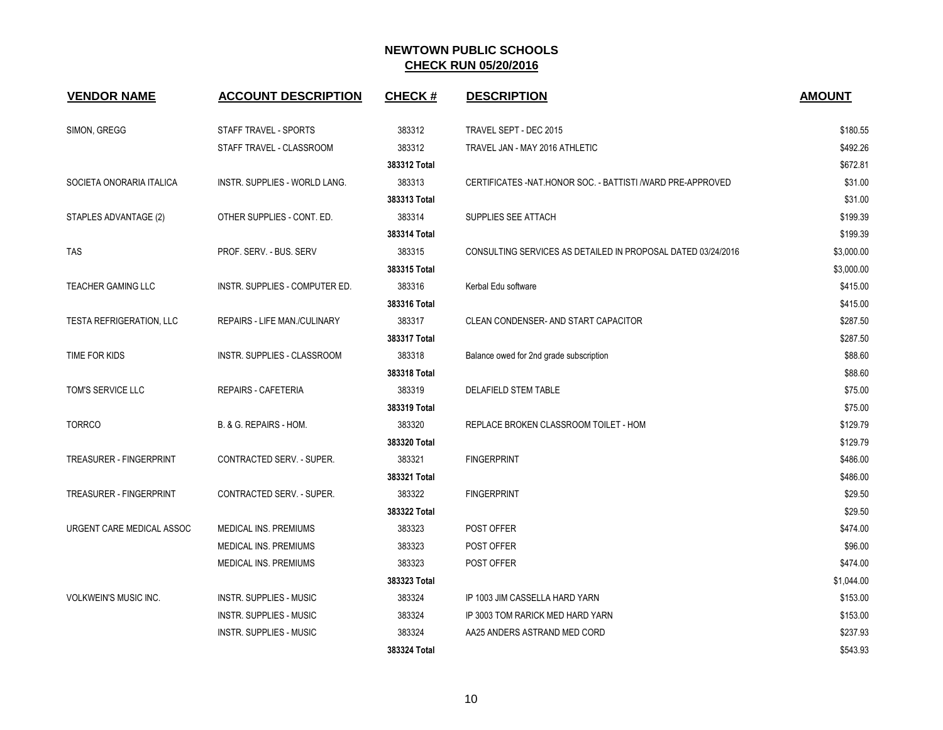| <b>VENDOR NAME</b>              | <b>ACCOUNT DESCRIPTION</b>          | <b>CHECK#</b> | <b>DESCRIPTION</b>                                           | <b>AMOUNT</b> |
|---------------------------------|-------------------------------------|---------------|--------------------------------------------------------------|---------------|
| SIMON, GREGG                    | STAFF TRAVEL - SPORTS               | 383312        | TRAVEL SEPT - DEC 2015                                       | \$180.55      |
|                                 | STAFF TRAVEL - CLASSROOM            | 383312        | TRAVEL JAN - MAY 2016 ATHLETIC                               | \$492.26      |
|                                 |                                     | 383312 Total  |                                                              | \$672.81      |
| SOCIETA ONORARIA ITALICA        | INSTR. SUPPLIES - WORLD LANG.       | 383313        | CERTIFICATES - NAT HONOR SOC. - BATTISTI / WARD PRE-APPROVED | \$31.00       |
|                                 |                                     | 383313 Total  |                                                              | \$31.00       |
| STAPLES ADVANTAGE (2)           | OTHER SUPPLIES - CONT. ED.          | 383314        | SUPPLIES SEE ATTACH                                          | \$199.39      |
|                                 |                                     | 383314 Total  |                                                              | \$199.39      |
| <b>TAS</b>                      | PROF. SERV. - BUS. SERV             | 383315        | CONSULTING SERVICES AS DETAILED IN PROPOSAL DATED 03/24/2016 | \$3,000.00    |
|                                 |                                     | 383315 Total  |                                                              | \$3,000.00    |
| <b>TEACHER GAMING LLC</b>       | INSTR. SUPPLIES - COMPUTER ED.      | 383316        | Kerbal Edu software                                          | \$415.00      |
|                                 |                                     | 383316 Total  |                                                              | \$415.00      |
| <b>TESTA REFRIGERATION, LLC</b> | <b>REPAIRS - LIFE MAN./CULINARY</b> | 383317        | CLEAN CONDENSER- AND START CAPACITOR                         | \$287.50      |
|                                 |                                     | 383317 Total  |                                                              | \$287.50      |
| TIME FOR KIDS                   | INSTR. SUPPLIES - CLASSROOM         | 383318        | Balance owed for 2nd grade subscription                      | \$88.60       |
|                                 |                                     | 383318 Total  |                                                              | \$88.60       |
| TOM'S SERVICE LLC               | <b>REPAIRS - CAFETERIA</b>          | 383319        | DELAFIELD STEM TABLE                                         | \$75.00       |
|                                 |                                     | 383319 Total  |                                                              | \$75.00       |
| <b>TORRCO</b>                   | B. & G. REPAIRS - HOM.              | 383320        | REPLACE BROKEN CLASSROOM TOILET - HOM                        | \$129.79      |
|                                 |                                     | 383320 Total  |                                                              | \$129.79      |
| TREASURER - FINGERPRINT         | CONTRACTED SERV. - SUPER.           | 383321        | <b>FINGERPRINT</b>                                           | \$486.00      |
|                                 |                                     | 383321 Total  |                                                              | \$486.00      |
| <b>TREASURER - FINGERPRINT</b>  | <b>CONTRACTED SERV. - SUPER.</b>    | 383322        | <b>FINGERPRINT</b>                                           | \$29.50       |
|                                 |                                     | 383322 Total  |                                                              | \$29.50       |
| URGENT CARE MEDICAL ASSOC       | <b>MEDICAL INS. PREMIUMS</b>        | 383323        | POST OFFER                                                   | \$474.00      |
|                                 | <b>MEDICAL INS. PREMIUMS</b>        | 383323        | POST OFFER                                                   | \$96.00       |
|                                 | MEDICAL INS. PREMIUMS               | 383323        | <b>POST OFFER</b>                                            | \$474.00      |
|                                 |                                     | 383323 Total  |                                                              | \$1,044.00    |
| <b>VOLKWEIN'S MUSIC INC.</b>    | <b>INSTR. SUPPLIES - MUSIC</b>      | 383324        | IP 1003 JIM CASSELLA HARD YARN                               | \$153.00      |
|                                 | <b>INSTR. SUPPLIES - MUSIC</b>      | 383324        | IP 3003 TOM RARICK MED HARD YARN                             | \$153.00      |
|                                 | <b>INSTR. SUPPLIES - MUSIC</b>      | 383324        | AA25 ANDERS ASTRAND MED CORD                                 | \$237.93      |
|                                 |                                     | 383324 Total  |                                                              | \$543.93      |